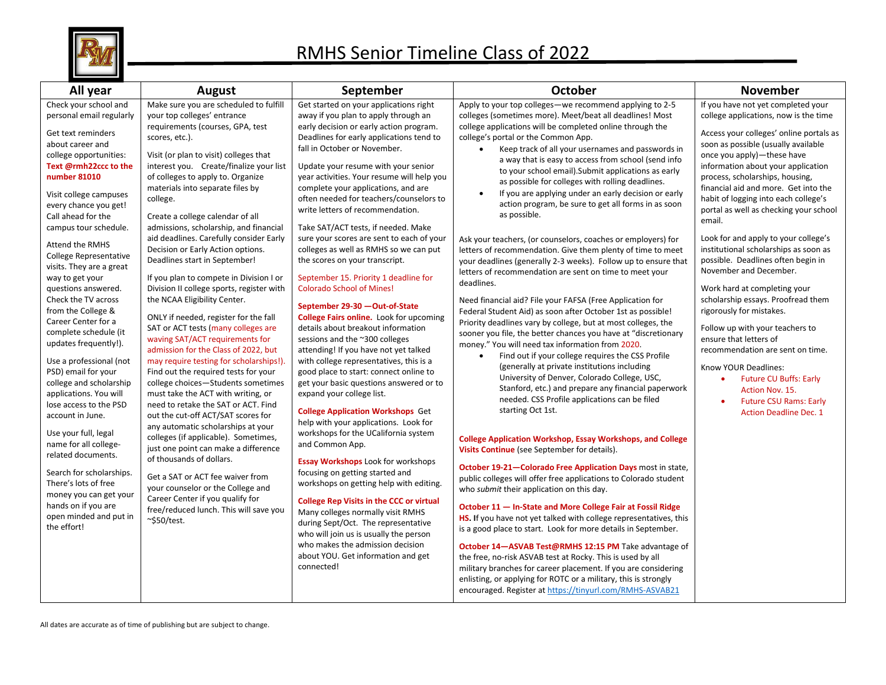

| All year                                                                                                                                                                                                                                                                                                                                                                                                                                                                                                                                                                                                                                                                                                                                                                                                                                                                                   | <b>August</b>                                                                                                                                                                                                                                                                                                                                                                                                                                                                                                                                                                                                                                                                                                                                                                                                                                                                                                                                                                                                                                                                                                                                                                                                                                                                                                                                                     | September                                                                                                                                                                                                                                                                                                                                                                                                                                                                                                                                                                                                                                                                                                                                                                                                                                                                                                                                                                                                                                                                                                                                                                                                                                                                                                                                                                                                                                                                                                                                                                   | <b>October</b>                                                                                                                                                                                                                                                                                                                                                                                                                                                                                                                                                                                                                                                                                                                                                                                                                                                                                                                                                                                                                                                                                                                                                                                                                                                                                                                                                                                                                                                                                                                                                                                                                                                                                                                                                                                                                                                                                                                                                                                                                                                                                                                                                                                                                                                                                              | <b>November</b>                                                                                                                                                                                                                                                                                                                                                                                                                                                                                                                                                                                                                                                                                                                                                                                                                                                                                            |
|--------------------------------------------------------------------------------------------------------------------------------------------------------------------------------------------------------------------------------------------------------------------------------------------------------------------------------------------------------------------------------------------------------------------------------------------------------------------------------------------------------------------------------------------------------------------------------------------------------------------------------------------------------------------------------------------------------------------------------------------------------------------------------------------------------------------------------------------------------------------------------------------|-------------------------------------------------------------------------------------------------------------------------------------------------------------------------------------------------------------------------------------------------------------------------------------------------------------------------------------------------------------------------------------------------------------------------------------------------------------------------------------------------------------------------------------------------------------------------------------------------------------------------------------------------------------------------------------------------------------------------------------------------------------------------------------------------------------------------------------------------------------------------------------------------------------------------------------------------------------------------------------------------------------------------------------------------------------------------------------------------------------------------------------------------------------------------------------------------------------------------------------------------------------------------------------------------------------------------------------------------------------------|-----------------------------------------------------------------------------------------------------------------------------------------------------------------------------------------------------------------------------------------------------------------------------------------------------------------------------------------------------------------------------------------------------------------------------------------------------------------------------------------------------------------------------------------------------------------------------------------------------------------------------------------------------------------------------------------------------------------------------------------------------------------------------------------------------------------------------------------------------------------------------------------------------------------------------------------------------------------------------------------------------------------------------------------------------------------------------------------------------------------------------------------------------------------------------------------------------------------------------------------------------------------------------------------------------------------------------------------------------------------------------------------------------------------------------------------------------------------------------------------------------------------------------------------------------------------------------|-------------------------------------------------------------------------------------------------------------------------------------------------------------------------------------------------------------------------------------------------------------------------------------------------------------------------------------------------------------------------------------------------------------------------------------------------------------------------------------------------------------------------------------------------------------------------------------------------------------------------------------------------------------------------------------------------------------------------------------------------------------------------------------------------------------------------------------------------------------------------------------------------------------------------------------------------------------------------------------------------------------------------------------------------------------------------------------------------------------------------------------------------------------------------------------------------------------------------------------------------------------------------------------------------------------------------------------------------------------------------------------------------------------------------------------------------------------------------------------------------------------------------------------------------------------------------------------------------------------------------------------------------------------------------------------------------------------------------------------------------------------------------------------------------------------------------------------------------------------------------------------------------------------------------------------------------------------------------------------------------------------------------------------------------------------------------------------------------------------------------------------------------------------------------------------------------------------------------------------------------------------------------------------------------------------|------------------------------------------------------------------------------------------------------------------------------------------------------------------------------------------------------------------------------------------------------------------------------------------------------------------------------------------------------------------------------------------------------------------------------------------------------------------------------------------------------------------------------------------------------------------------------------------------------------------------------------------------------------------------------------------------------------------------------------------------------------------------------------------------------------------------------------------------------------------------------------------------------------|
| Check your school and<br>personal email regularly<br>Get text reminders<br>about career and<br>college opportunities:<br>Text @rmh22ccc to the<br>number 81010<br>Visit college campuses<br>every chance you get!<br>Call ahead for the<br>campus tour schedule.<br>Attend the RMHS<br><b>College Representative</b><br>visits. They are a great<br>way to get your<br>questions answered.<br>Check the TV across<br>from the College &<br>Career Center for a<br>complete schedule (it<br>updates frequently!).<br>Use a professional (not<br>PSD) email for your<br>college and scholarship<br>applications. You will<br>lose access to the PSD<br>account in June.<br>Use your full, legal<br>name for all college-<br>related documents.<br>Search for scholarships.<br>There's lots of free<br>money you can get your<br>hands on if you are<br>open minded and put in<br>the effort! | Make sure you are scheduled to fulfill<br>your top colleges' entrance<br>requirements (courses, GPA, test<br>scores, etc.).<br>Visit (or plan to visit) colleges that<br>interest you. Create/finalize your list<br>of colleges to apply to. Organize<br>materials into separate files by<br>college.<br>Create a college calendar of all<br>admissions, scholarship, and financial<br>aid deadlines. Carefully consider Early<br>Decision or Early Action options.<br>Deadlines start in September!<br>If you plan to compete in Division I or<br>Division II college sports, register with<br>the NCAA Eligibility Center.<br>ONLY if needed, register for the fall<br>SAT or ACT tests (many colleges are<br>waving SAT/ACT requirements for<br>admission for the Class of 2022, but<br>may require testing for scholarships!).<br>Find out the required tests for your<br>college choices-Students sometimes<br>must take the ACT with writing, or<br>need to retake the SAT or ACT. Find<br>out the cut-off ACT/SAT scores for<br>any automatic scholarships at your<br>colleges (if applicable). Sometimes,<br>just one point can make a difference<br>of thousands of dollars.<br>Get a SAT or ACT fee waiver from<br>your counselor or the College and<br>Career Center if you qualify for<br>free/reduced lunch. This will save you<br>$\sim$ \$50/test. | Get started on your applications right<br>away if you plan to apply through an<br>early decision or early action program.<br>Deadlines for early applications tend to<br>fall in October or November.<br>Update your resume with your senior<br>year activities. Your resume will help you<br>complete your applications, and are<br>often needed for teachers/counselors to<br>write letters of recommendation.<br>Take SAT/ACT tests, if needed. Make<br>sure your scores are sent to each of your<br>colleges as well as RMHS so we can put<br>the scores on your transcript.<br>September 15. Priority 1 deadline for<br><b>Colorado School of Mines!</b><br>September 29-30 - Out-of-State<br><b>College Fairs online.</b> Look for upcoming<br>details about breakout information<br>sessions and the ~300 colleges<br>attending! If you have not yet talked<br>with college representatives, this is a<br>good place to start: connect online to<br>get your basic questions answered or to<br>expand your college list.<br><b>College Application Workshops Get</b><br>help with your applications. Look for<br>workshops for the UCalifornia system<br>and Common App.<br><b>Essay Workshops Look for workshops</b><br>focusing on getting started and<br>workshops on getting help with editing.<br><b>College Rep Visits in the CCC or virtual</b><br>Many colleges normally visit RMHS<br>during Sept/Oct. The representative<br>who will join us is usually the person<br>who makes the admission decision<br>about YOU. Get information and get<br>connected! | Apply to your top colleges-we recommend applying to 2-5<br>colleges (sometimes more). Meet/beat all deadlines! Most<br>college applications will be completed online through the<br>college's portal or the Common App.<br>Keep track of all your usernames and passwords in<br>a way that is easy to access from school (send info<br>to your school email). Submit applications as early<br>as possible for colleges with rolling deadlines.<br>If you are applying under an early decision or early<br>$\bullet$<br>action program, be sure to get all forms in as soon<br>as possible.<br>Ask your teachers, (or counselors, coaches or employers) for<br>letters of recommendation. Give them plenty of time to meet<br>your deadlines (generally 2-3 weeks). Follow up to ensure that<br>letters of recommendation are sent on time to meet your<br>deadlines.<br>Need financial aid? File your FAFSA (Free Application for<br>Federal Student Aid) as soon after October 1st as possible!<br>Priority deadlines vary by college, but at most colleges, the<br>sooner you file, the better chances you have at "discretionary<br>money." You will need tax information from 2020.<br>Find out if your college requires the CSS Profile<br>(generally at private institutions including<br>University of Denver, Colorado College, USC,<br>Stanford, etc.) and prepare any financial paperwork<br>needed. CSS Profile applications can be filed<br>starting Oct 1st.<br><b>College Application Workshop, Essay Workshops, and College</b><br>Visits Continue (see September for details).<br>October 19-21-Colorado Free Application Days most in state,<br>public colleges will offer free applications to Colorado student<br>who submit their application on this day.<br>October 11 - In-State and More College Fair at Fossil Ridge<br>HS. If you have not yet talked with college representatives, this<br>is a good place to start. Look for more details in September.<br>October 14-ASVAB Test@RMHS 12:15 PM Take advantage of<br>the free, no-risk ASVAB test at Rocky. This is used by all<br>military branches for career placement. If you are considering<br>enlisting, or applying for ROTC or a military, this is strongly<br>encouraged. Register at https://tinyurl.com/RMHS-ASVAB21 | If you have not yet completed your<br>college applications, now is the time<br>Access your colleges' online portals as<br>soon as possible (usually available<br>once you apply)-these have<br>information about your application<br>process, scholarships, housing,<br>financial aid and more. Get into the<br>habit of logging into each college's<br>portal as well as checking your school<br>email.<br>Look for and apply to your college's<br>institutional scholarships as soon as<br>possible. Deadlines often begin in<br>November and December.<br>Work hard at completing your<br>scholarship essays. Proofread them<br>rigorously for mistakes.<br>Follow up with your teachers to<br>ensure that letters of<br>recommendation are sent on time.<br>Know YOUR Deadlines:<br><b>Future CU Buffs: Early</b><br>Action Nov. 15.<br><b>Future CSU Rams: Early</b><br><b>Action Deadline Dec. 1</b> |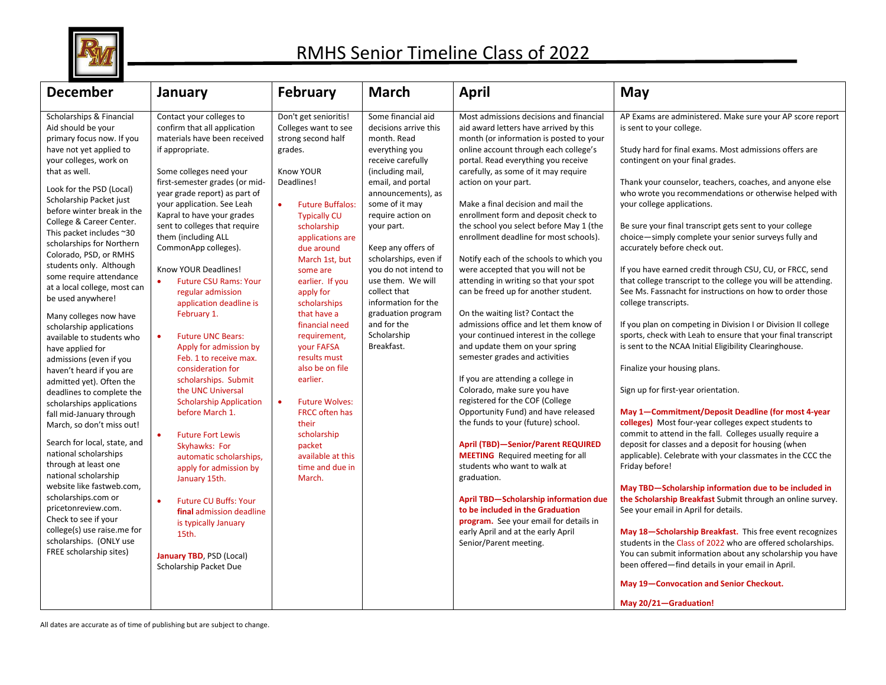

## RMHS Senior Timeline Class of 2022

| <b>December</b>                                                                                                                                                                                                                                                                                                                                                                                                                                                                                                                                                                                                                                                                                                                                                                                                                                                                                                                                                                                                                                                                | January                                                                                                                                                                                                                                                                                                                                                                                                                                                                                                                                                                                                                                                                                                                                                                                                                                                                                                                                                                                                 | <b>February</b>                                                                                                                                                                                                                                                                                                                                                                                                                                                                                                                                                          | <b>March</b>                                                                                                                                                                                                                                                                                                                                                                                                               | <b>April</b>                                                                                                                                                                                                                                                                                                                                                                                                                                                                                                                                                                                                                                                                                                                                                                                                                                                                                                                                                                                                                                                                                                                                                                                                                                                                                                                             | May                                                                                                                                                                                                                                                                                                                                                                                                                                                                                                                                                                                                                                                                                                                                                                                                                                                                                                                                                                                                                                                                                                                                                                                                                                                                                                                                                                                                                                                                                                                                                                                                                                                                                                                                                                            |
|--------------------------------------------------------------------------------------------------------------------------------------------------------------------------------------------------------------------------------------------------------------------------------------------------------------------------------------------------------------------------------------------------------------------------------------------------------------------------------------------------------------------------------------------------------------------------------------------------------------------------------------------------------------------------------------------------------------------------------------------------------------------------------------------------------------------------------------------------------------------------------------------------------------------------------------------------------------------------------------------------------------------------------------------------------------------------------|---------------------------------------------------------------------------------------------------------------------------------------------------------------------------------------------------------------------------------------------------------------------------------------------------------------------------------------------------------------------------------------------------------------------------------------------------------------------------------------------------------------------------------------------------------------------------------------------------------------------------------------------------------------------------------------------------------------------------------------------------------------------------------------------------------------------------------------------------------------------------------------------------------------------------------------------------------------------------------------------------------|--------------------------------------------------------------------------------------------------------------------------------------------------------------------------------------------------------------------------------------------------------------------------------------------------------------------------------------------------------------------------------------------------------------------------------------------------------------------------------------------------------------------------------------------------------------------------|----------------------------------------------------------------------------------------------------------------------------------------------------------------------------------------------------------------------------------------------------------------------------------------------------------------------------------------------------------------------------------------------------------------------------|------------------------------------------------------------------------------------------------------------------------------------------------------------------------------------------------------------------------------------------------------------------------------------------------------------------------------------------------------------------------------------------------------------------------------------------------------------------------------------------------------------------------------------------------------------------------------------------------------------------------------------------------------------------------------------------------------------------------------------------------------------------------------------------------------------------------------------------------------------------------------------------------------------------------------------------------------------------------------------------------------------------------------------------------------------------------------------------------------------------------------------------------------------------------------------------------------------------------------------------------------------------------------------------------------------------------------------------|--------------------------------------------------------------------------------------------------------------------------------------------------------------------------------------------------------------------------------------------------------------------------------------------------------------------------------------------------------------------------------------------------------------------------------------------------------------------------------------------------------------------------------------------------------------------------------------------------------------------------------------------------------------------------------------------------------------------------------------------------------------------------------------------------------------------------------------------------------------------------------------------------------------------------------------------------------------------------------------------------------------------------------------------------------------------------------------------------------------------------------------------------------------------------------------------------------------------------------------------------------------------------------------------------------------------------------------------------------------------------------------------------------------------------------------------------------------------------------------------------------------------------------------------------------------------------------------------------------------------------------------------------------------------------------------------------------------------------------------------------------------------------------|
| Scholarships & Financial<br>Aid should be your<br>primary focus now. If you<br>have not yet applied to<br>your colleges, work on<br>that as well.<br>Look for the PSD (Local)<br>Scholarship Packet just<br>before winter break in the<br>College & Career Center.<br>This packet includes ~30<br>scholarships for Northern<br>Colorado, PSD, or RMHS<br>students only. Although<br>some require attendance<br>at a local college, most can<br>be used anywhere!<br>Many colleges now have<br>scholarship applications<br>available to students who<br>have applied for<br>admissions (even if you<br>haven't heard if you are<br>admitted yet). Often the<br>deadlines to complete the<br>scholarships applications<br>fall mid-January through<br>March, so don't miss out!<br>Search for local, state, and<br>national scholarships<br>through at least one<br>national scholarship<br>website like fastweb.com,<br>scholarships.com or<br>pricetonreview.com.<br>Check to see if your<br>college(s) use raise.me for<br>scholarships. (ONLY use<br>FREE scholarship sites) | Contact your colleges to<br>confirm that all application<br>materials have been received<br>if appropriate.<br>Some colleges need your<br>first-semester grades (or mid-<br>year grade report) as part of<br>your application. See Leah<br>Kapral to have your grades<br>sent to colleges that require<br>them (including ALL<br>CommonApp colleges).<br>Know YOUR Deadlines!<br><b>Future CSU Rams: Your</b><br>regular admission<br>application deadline is<br>February 1.<br><b>Future UNC Bears:</b><br>$\bullet$<br>Apply for admission by<br>Feb. 1 to receive max.<br>consideration for<br>scholarships. Submit<br>the UNC Universal<br><b>Scholarship Application</b><br>before March 1.<br><b>Future Fort Lewis</b><br>$\bullet$<br>Skyhawks: For<br>automatic scholarships,<br>apply for admission by<br>January 15th.<br><b>Future CU Buffs: Your</b><br>$\bullet$<br>final admission deadline<br>is typically January<br>15th.<br><b>January TBD, PSD (Local)</b><br>Scholarship Packet Due | Don't get senioritis!<br>Colleges want to see<br>strong second half<br>grades.<br>Know YOUR<br>Deadlines!<br><b>Future Buffalos:</b><br>$\bullet$<br><b>Typically CU</b><br>scholarship<br>applications are<br>due around<br>March 1st, but<br>some are<br>earlier. If you<br>apply for<br>scholarships<br>that have a<br>financial need<br>requirement,<br>your FAFSA<br>results must<br>also be on file<br>earlier.<br><b>Future Wolves:</b><br>$\bullet$<br><b>FRCC often has</b><br>their<br>scholarship<br>packet<br>available at this<br>time and due in<br>March. | Some financial aid<br>decisions arrive this<br>month. Read<br>everything you<br>receive carefully<br>(including mail,<br>email, and portal<br>announcements), as<br>some of it may<br>require action on<br>your part.<br>Keep any offers of<br>scholarships, even if<br>you do not intend to<br>use them. We will<br>collect that<br>information for the<br>graduation program<br>and for the<br>Scholarship<br>Breakfast. | Most admissions decisions and financial<br>aid award letters have arrived by this<br>month (or information is posted to your<br>online account through each college's<br>portal. Read everything you receive<br>carefully, as some of it may require<br>action on your part.<br>Make a final decision and mail the<br>enrollment form and deposit check to<br>the school you select before May 1 (the<br>enrollment deadline for most schools).<br>Notify each of the schools to which you<br>were accepted that you will not be<br>attending in writing so that your spot<br>can be freed up for another student.<br>On the waiting list? Contact the<br>admissions office and let them know of<br>your continued interest in the college<br>and update them on your spring<br>semester grades and activities<br>If you are attending a college in<br>Colorado, make sure you have<br>registered for the COF (College<br>Opportunity Fund) and have released<br>the funds to your (future) school.<br><b>April (TBD)-Senior/Parent REQUIRED</b><br><b>MEETING</b> Required meeting for all<br>students who want to walk at<br>graduation.<br><b>April TBD-Scholarship information due</b><br>to be included in the Graduation<br>program. See your email for details in<br>early April and at the early April<br>Senior/Parent meeting. | AP Exams are administered. Make sure your AP score report<br>is sent to your college.<br>Study hard for final exams. Most admissions offers are<br>contingent on your final grades.<br>Thank your counselor, teachers, coaches, and anyone else<br>who wrote you recommendations or otherwise helped with<br>your college applications.<br>Be sure your final transcript gets sent to your college<br>choice-simply complete your senior surveys fully and<br>accurately before check out.<br>If you have earned credit through CSU, CU, or FRCC, send<br>that college transcript to the college you will be attending.<br>See Ms. Fassnacht for instructions on how to order those<br>college transcripts.<br>If you plan on competing in Division I or Division II college<br>sports, check with Leah to ensure that your final transcript<br>is sent to the NCAA Initial Eligibility Clearinghouse.<br>Finalize your housing plans.<br>Sign up for first-year orientation.<br>May 1-Commitment/Deposit Deadline (for most 4-year<br>colleges) Most four-year colleges expect students to<br>commit to attend in the fall. Colleges usually require a<br>deposit for classes and a deposit for housing (when<br>applicable). Celebrate with your classmates in the CCC the<br>Friday before!<br>May TBD-Scholarship information due to be included in<br>the Scholarship Breakfast Submit through an online survey.<br>See your email in April for details.<br>May 18-Scholarship Breakfast. This free event recognizes<br>students in the Class of 2022 who are offered scholarships.<br>You can submit information about any scholarship you have<br>been offered-find details in your email in April.<br>May 19-Convocation and Senior Checkout.<br>May 20/21-Graduation! |

All dates are accurate as of time of publishing but are subject to change.